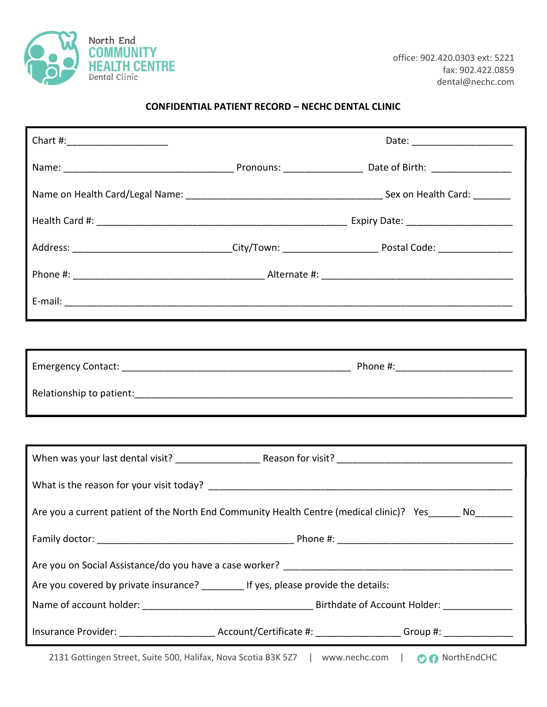

## CONFIDENTIAL PATIENT RECORD – NECHC DENTAL CLINIC

|                                                                                                                |  | Date: _________________________ |
|----------------------------------------------------------------------------------------------------------------|--|---------------------------------|
|                                                                                                                |  |                                 |
|                                                                                                                |  |                                 |
|                                                                                                                |  |                                 |
| Address: _________________________________City/Town: ___________________________ Postal Code: ________________ |  |                                 |
|                                                                                                                |  |                                 |
|                                                                                                                |  |                                 |
|                                                                                                                |  |                                 |
|                                                                                                                |  |                                 |
|                                                                                                                |  |                                 |
|                                                                                                                |  |                                 |
|                                                                                                                |  |                                 |
|                                                                                                                |  |                                 |
| Are you a current patient of the North End Community Health Centre (medical clinic)? Yes ______ No_______      |  |                                 |
|                                                                                                                |  |                                 |
|                                                                                                                |  |                                 |
| Are you covered by private insurance? ________ If yes, please provide the details:                             |  |                                 |
|                                                                                                                |  |                                 |
| Insurance Provider: ___________________________Account/Certificate #: __________________Group #: _____________ |  |                                 |
| 2131 Gottingen Street, Suite 500, Halifax, Nova Scotia B3K 5Z7   www.nechc.com   06 NorthEndCHC                |  |                                 |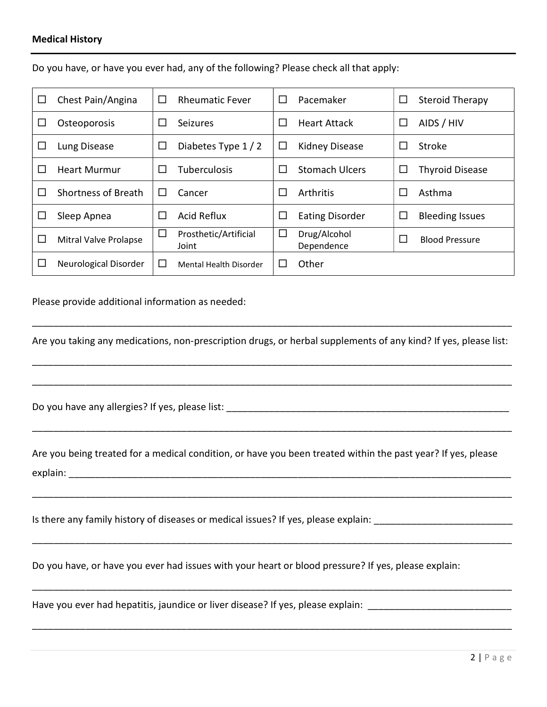## Medical History

| ப       | Chest Pain/Angina            | □            | <b>Rheumatic Fever</b>         | $\Box$  | Pacemaker                  | $\Box$ | <b>Steroid Therapy</b> |
|---------|------------------------------|--------------|--------------------------------|---------|----------------------------|--------|------------------------|
| ப       | Osteoporosis                 | $\mathbf{L}$ | <b>Seizures</b>                | $\Box$  | <b>Heart Attack</b>        | $\Box$ | AIDS / HIV             |
| ⊔       | Lung Disease                 | $\Box$       | Diabetes Type 1/2              | $\Box$  | <b>Kidney Disease</b>      | $\Box$ | Stroke                 |
| $\perp$ | <b>Heart Murmur</b>          | П            | <b>Tuberculosis</b>            | $\perp$ | <b>Stomach Ulcers</b>      | ப      | <b>Thyroid Disease</b> |
| ΙI      | Shortness of Breath          | $\perp$      | Cancer                         | $\Box$  | Arthritis                  | L      | Asthma                 |
| ப       | Sleep Apnea                  | $\Box$       | <b>Acid Reflux</b>             | $\Box$  | <b>Eating Disorder</b>     | $\Box$ | <b>Bleeding Issues</b> |
| ப       | <b>Mitral Valve Prolapse</b> | □            | Prosthetic/Artificial<br>Joint | □       | Drug/Alcohol<br>Dependence | П      | <b>Blood Pressure</b>  |
| ΙI      | Neurological Disorder        | $\Box$       | Mental Health Disorder         | $\Box$  | Other                      |        |                        |

Do you have, or have you ever had, any of the following? Please check all that apply:

Please provide additional information as needed:

Are you taking any medications, non-prescription drugs, or herbal supplements of any kind? If yes, please list:

\_\_\_\_\_\_\_\_\_\_\_\_\_\_\_\_\_\_\_\_\_\_\_\_\_\_\_\_\_\_\_\_\_\_\_\_\_\_\_\_\_\_\_\_\_\_\_\_\_\_\_\_\_\_\_\_\_\_\_\_\_\_\_\_\_\_\_\_\_\_\_\_\_\_\_\_\_\_\_\_\_\_\_\_\_\_\_\_\_\_

\_\_\_\_\_\_\_\_\_\_\_\_\_\_\_\_\_\_\_\_\_\_\_\_\_\_\_\_\_\_\_\_\_\_\_\_\_\_\_\_\_\_\_\_\_\_\_\_\_\_\_\_\_\_\_\_\_\_\_\_\_\_\_\_\_\_\_\_\_\_\_\_\_\_\_\_\_\_\_\_\_\_\_\_\_\_\_\_\_\_

\_\_\_\_\_\_\_\_\_\_\_\_\_\_\_\_\_\_\_\_\_\_\_\_\_\_\_\_\_\_\_\_\_\_\_\_\_\_\_\_\_\_\_\_\_\_\_\_\_\_\_\_\_\_\_\_\_\_\_\_\_\_\_\_\_\_\_\_\_\_\_\_\_\_\_\_\_\_\_\_\_\_\_\_\_\_\_\_\_\_

\_\_\_\_\_\_\_\_\_\_\_\_\_\_\_\_\_\_\_\_\_\_\_\_\_\_\_\_\_\_\_\_\_\_\_\_\_\_\_\_\_\_\_\_\_\_\_\_\_\_\_\_\_\_\_\_\_\_\_\_\_\_\_\_\_\_\_\_\_\_\_\_\_\_\_\_\_\_\_\_\_\_\_\_\_\_\_\_\_\_

\_\_\_\_\_\_\_\_\_\_\_\_\_\_\_\_\_\_\_\_\_\_\_\_\_\_\_\_\_\_\_\_\_\_\_\_\_\_\_\_\_\_\_\_\_\_\_\_\_\_\_\_\_\_\_\_\_\_\_\_\_\_\_\_\_\_\_\_\_\_\_\_\_\_\_\_\_\_\_\_\_\_\_\_\_\_\_\_\_\_

\_\_\_\_\_\_\_\_\_\_\_\_\_\_\_\_\_\_\_\_\_\_\_\_\_\_\_\_\_\_\_\_\_\_\_\_\_\_\_\_\_\_\_\_\_\_\_\_\_\_\_\_\_\_\_\_\_\_\_\_\_\_\_\_\_\_\_\_\_\_\_\_\_\_\_\_\_\_\_\_\_\_\_\_\_\_\_\_\_\_

\_\_\_\_\_\_\_\_\_\_\_\_\_\_\_\_\_\_\_\_\_\_\_\_\_\_\_\_\_\_\_\_\_\_\_\_\_\_\_\_\_\_\_\_\_\_\_\_\_\_\_\_\_\_\_\_\_\_\_\_\_\_\_\_\_\_\_\_\_\_\_\_\_\_\_\_\_\_\_\_\_\_\_\_\_\_\_\_\_\_

\_\_\_\_\_\_\_\_\_\_\_\_\_\_\_\_\_\_\_\_\_\_\_\_\_\_\_\_\_\_\_\_\_\_\_\_\_\_\_\_\_\_\_\_\_\_\_\_\_\_\_\_\_\_\_\_\_\_\_\_\_\_\_\_\_\_\_\_\_\_\_\_\_\_\_\_\_\_\_\_\_\_\_\_\_\_\_\_\_\_

Do you have any allergies? If yes, please list: \_\_\_\_\_\_\_\_\_\_\_\_\_\_\_\_\_\_\_\_\_\_\_\_\_\_\_\_\_\_\_\_\_\_\_\_\_\_\_\_\_\_\_\_\_\_\_\_\_\_\_\_\_

Are you being treated for a medical condition, or have you been treated within the past year? If yes, please explain: \_\_\_\_\_\_\_\_\_\_\_\_\_\_\_\_\_\_\_\_\_\_\_\_\_\_\_\_\_\_\_\_\_\_\_\_\_\_\_\_\_\_\_\_\_\_\_\_\_\_\_\_\_\_\_\_\_\_\_\_\_\_\_\_\_\_\_\_\_\_\_\_\_\_\_\_\_\_\_\_\_\_\_

Is there any family history of diseases or medical issues? If yes, please explain:

Do you have, or have you ever had issues with your heart or blood pressure? If yes, please explain:

Have you ever had hepatitis, jaundice or liver disease? If yes, please explain: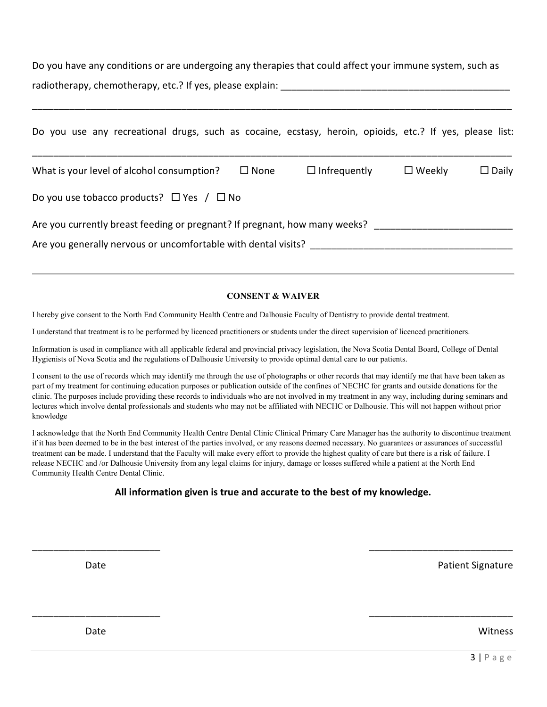Do you have any conditions or are undergoing any therapies that could affect your immune system, such as radiotherapy, chemotherapy, etc.? If yes, please explain:

\_\_\_\_\_\_\_\_\_\_\_\_\_\_\_\_\_\_\_\_\_\_\_\_\_\_\_\_\_\_\_\_\_\_\_\_\_\_\_\_\_\_\_\_\_\_\_\_\_\_\_\_\_\_\_\_\_\_\_\_\_\_\_\_\_\_\_\_\_\_\_\_\_\_\_\_\_\_\_\_\_\_\_\_\_\_\_\_\_\_

| Do you use any recreational drugs, such as cocaine, ecstasy, heroin, opioids, etc.? If yes, please list:                                     |             |                     |                  |              |
|----------------------------------------------------------------------------------------------------------------------------------------------|-------------|---------------------|------------------|--------------|
| What is your level of alcohol consumption?                                                                                                   | $\Box$ None | $\Box$ Infrequently | $\square$ Weekly | $\Box$ Daily |
| Do you use tobacco products? $\Box$ Yes $\Box$ No                                                                                            |             |                     |                  |              |
| Are you currently breast feeding or pregnant? If pregnant, how many weeks?<br>Are you generally nervous or uncomfortable with dental visits? |             |                     |                  |              |

## CONSENT & WAIVER

I hereby give consent to the North End Community Health Centre and Dalhousie Faculty of Dentistry to provide dental treatment.

I understand that treatment is to be performed by licenced practitioners or students under the direct supervision of licenced practitioners.

Information is used in compliance with all applicable federal and provincial privacy legislation, the Nova Scotia Dental Board, College of Dental Hygienists of Nova Scotia and the regulations of Dalhousie University to provide optimal dental care to our patients.

I consent to the use of records which may identify me through the use of photographs or other records that may identify me that have been taken as part of my treatment for continuing education purposes or publication outside of the confines of NECHC for grants and outside donations for the clinic. The purposes include providing these records to individuals who are not involved in my treatment in any way, including during seminars and lectures which involve dental professionals and students who may not be affiliated with NECHC or Dalhousie. This will not happen without prior knowledge

I acknowledge that the North End Community Health Centre Dental Clinic Clinical Primary Care Manager has the authority to discontinue treatment if it has been deemed to be in the best interest of the parties involved, or any reasons deemed necessary. No guarantees or assurances of successful treatment can be made. I understand that the Faculty will make every effort to provide the highest quality of care but there is a risk of failure. I release NECHC and /or Dalhousie University from any legal claims for injury, damage or losses suffered while a patient at the North End Community Health Centre Dental Clinic.

## All information given is true and accurate to the best of my knowledge.

\_\_\_\_\_\_\_\_\_\_\_\_\_\_\_\_\_\_\_\_\_\_\_\_ \_\_\_\_\_\_\_\_\_\_\_\_\_\_\_\_\_\_\_\_\_\_\_\_\_\_\_

\_\_\_\_\_\_\_\_\_\_\_\_\_\_\_\_\_\_\_\_\_\_\_\_ \_\_\_\_\_\_\_\_\_\_\_\_\_\_\_\_\_\_\_\_\_\_\_\_\_\_\_

Date **Patient Signature** Patient Signature Patient Signature Patient Signature

Date **No. 2018** Number 2018 12:30 Number 2018 12:30 Number 2018 12:30 Number 2018 12:30 Number 2018 12:30 Number 2018 12:30 Number 2018 12:30 Number 2018 12:30 Number 2018 12:30 Number 2018 12:30 Number 2018 12:30 Number 2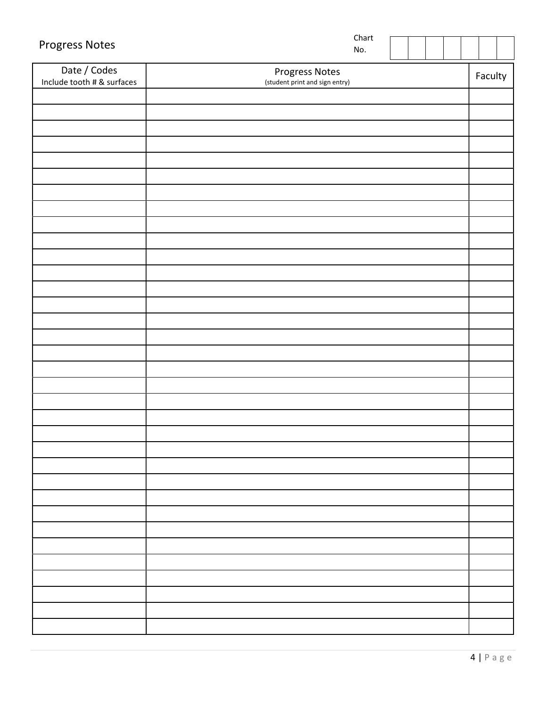| Date / Codes<br>Progress Notes<br>Faculty<br>Include tooth # & surfaces<br>(student print and sign entry) | <b>Progress Notes</b> | Chart<br>No. |  |  |  |  |
|-----------------------------------------------------------------------------------------------------------|-----------------------|--------------|--|--|--|--|
|                                                                                                           |                       |              |  |  |  |  |
|                                                                                                           |                       |              |  |  |  |  |
|                                                                                                           |                       |              |  |  |  |  |
|                                                                                                           |                       |              |  |  |  |  |
|                                                                                                           |                       |              |  |  |  |  |
|                                                                                                           |                       |              |  |  |  |  |
|                                                                                                           |                       |              |  |  |  |  |
|                                                                                                           |                       |              |  |  |  |  |
|                                                                                                           |                       |              |  |  |  |  |
|                                                                                                           |                       |              |  |  |  |  |
|                                                                                                           |                       |              |  |  |  |  |
|                                                                                                           |                       |              |  |  |  |  |
|                                                                                                           |                       |              |  |  |  |  |
|                                                                                                           |                       |              |  |  |  |  |
|                                                                                                           |                       |              |  |  |  |  |
|                                                                                                           |                       |              |  |  |  |  |
|                                                                                                           |                       |              |  |  |  |  |
|                                                                                                           |                       |              |  |  |  |  |
|                                                                                                           |                       |              |  |  |  |  |
|                                                                                                           |                       |              |  |  |  |  |
|                                                                                                           |                       |              |  |  |  |  |
|                                                                                                           |                       |              |  |  |  |  |
|                                                                                                           |                       |              |  |  |  |  |
|                                                                                                           |                       |              |  |  |  |  |
|                                                                                                           |                       |              |  |  |  |  |
|                                                                                                           |                       |              |  |  |  |  |
|                                                                                                           |                       |              |  |  |  |  |
|                                                                                                           |                       |              |  |  |  |  |
|                                                                                                           |                       |              |  |  |  |  |
|                                                                                                           |                       |              |  |  |  |  |
|                                                                                                           |                       |              |  |  |  |  |